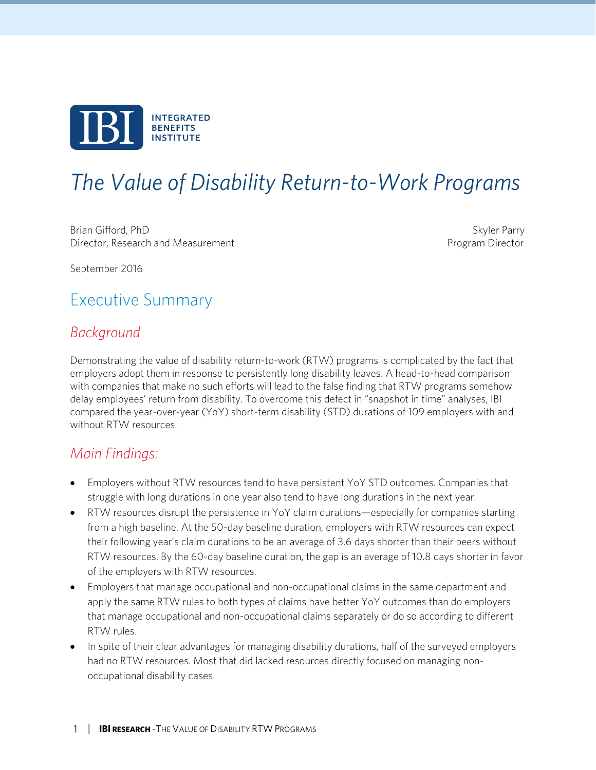

# *The Value of Disability Return-to-Work Programs*

Brian Gifford, PhD Skyler Parry Skyler Parry Skyler Parry Skyler Parry Skyler Parry Skyler Parry Skyler Parry Skyler Parry Skyler Parry Skyler Parry Skyler Parry Skyler Parry Skyler Parry Skyler Parry Skyler Parry Skyler P Director, Research and Measurement **Program Director** Program Director

September 2016

# Executive Summary

### *Background*

Demonstrating the value of disability return-to-work (RTW) programs is complicated by the fact that employers adopt them in response to persistently long disability leaves. A head-to-head comparison with companies that make no such efforts will lead to the false finding that RTW programs somehow delay employees' return from disability. To overcome this defect in "snapshot in time" analyses, IBI compared the year-over-year (YoY) short-term disability (STD) durations of 109 employers with and without RTW resources.

### *Main Findings:*

- Employers without RTW resources tend to have persistent YoY STD outcomes. Companies that struggle with long durations in one year also tend to have long durations in the next year.
- RTW resources disrupt the persistence in YoY claim durations—especially for companies starting from a high baseline. At the 50-day baseline duration, employers with RTW resources can expect their following year's claim durations to be an average of 3.6 days shorter than their peers without RTW resources. By the 60-day baseline duration, the gap is an average of 10.8 days shorter in favor of the employers with RTW resources.
- Employers that manage occupational and non-occupational claims in the same department and apply the same RTW rules to both types of claims have better YoY outcomes than do employers that manage occupational and non-occupational claims separately or do so according to different RTW rules.
- In spite of their clear advantages for managing disability durations, half of the surveyed employers had no RTW resources. Most that did lacked resources directly focused on managing nonoccupational disability cases.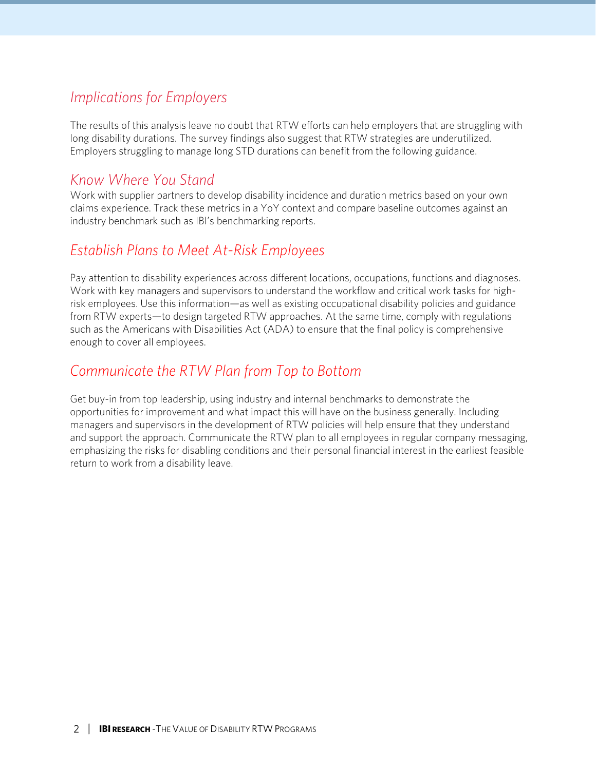## *Implications for Employers*

The results of this analysis leave no doubt that RTW efforts can help employers that are struggling with long disability durations. The survey findings also suggest that RTW strategies are underutilized. Employers struggling to manage long STD durations can benefit from the following guidance.

### *Know Where You Stand*

Work with supplier partners to develop disability incidence and duration metrics based on your own claims experience. Track these metrics in a YoY context and compare baseline outcomes against an industry benchmark such as IBI's benchmarking reports.

## *Establish Plans to Meet At-Risk Employees*

Pay attention to disability experiences across different locations, occupations, functions and diagnoses. Work with key managers and supervisors to understand the workflow and critical work tasks for highrisk employees. Use this information—as well as existing occupational disability policies and guidance from RTW experts—to design targeted RTW approaches. At the same time, comply with regulations such as the Americans with Disabilities Act (ADA) to ensure that the final policy is comprehensive enough to cover all employees.

### *Communicate the RTW Plan from Top to Bottom*

Get buy-in from top leadership, using industry and internal benchmarks to demonstrate the opportunities for improvement and what impact this will have on the business generally. Including managers and supervisors in the development of RTW policies will help ensure that they understand and support the approach. Communicate the RTW plan to all employees in regular company messaging, emphasizing the risks for disabling conditions and their personal financial interest in the earliest feasible return to work from a disability leave.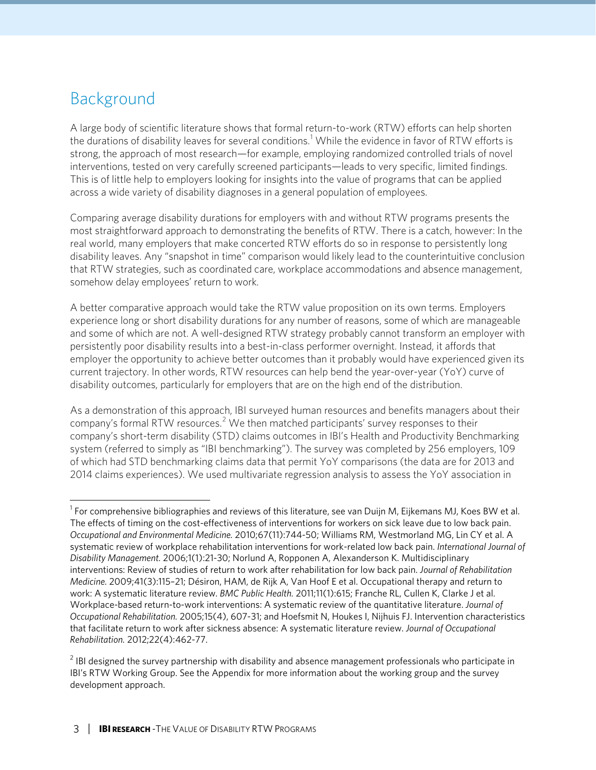# Background

A large body of scientific literature shows that formal return-to-work (RTW) efforts can help shorten the durations of disability leaves for several conditions.<sup>[1](#page-2-0)</sup> While the evidence in favor of RTW efforts is strong, the approach of most research—for example, employing randomized controlled trials of novel interventions, tested on very carefully screened participants—leads to very specific, limited findings. This is of little help to employers looking for insights into the value of programs that can be applied across a wide variety of disability diagnoses in a general population of employees.

Comparing average disability durations for employers with and without RTW programs presents the most straightforward approach to demonstrating the benefits of RTW. There is a catch, however: In the real world, many employers that make concerted RTW efforts do so in response to persistently long disability leaves. Any "snapshot in time" comparison would likely lead to the counterintuitive conclusion that RTW strategies, such as coordinated care, workplace accommodations and absence management, somehow delay employees' return to work.

A better comparative approach would take the RTW value proposition on its own terms. Employers experience long or short disability durations for any number of reasons, some of which are manageable and some of which are not. A well-designed RTW strategy probably cannot transform an employer with persistently poor disability results into a best-in-class performer overnight. Instead, it affords that employer the opportunity to achieve better outcomes than it probably would have experienced given its current trajectory. In other words, RTW resources can help bend the year-over-year (YoY) curve of disability outcomes, particularly for employers that are on the high end of the distribution.

As a demonstration of this approach, IBI surveyed human resources and benefits managers about their company's formal RTW resources.<sup>[2](#page-2-1)</sup> We then matched participants' survey responses to their company's short-term disability (STD) claims outcomes in IBI's Health and Productivity Benchmarking system (referred to simply as "IBI benchmarking"). The survey was completed by 256 employers, 109 of which had STD benchmarking claims data that permit YoY comparisons (the data are for 2013 and 2014 claims experiences). We used multivariate regression analysis to assess the YoY association in

<span id="page-2-0"></span><sup>|&</sup>lt;br>1  $1$  For comprehensive bibliographies and reviews of this literature, see van Duijn M, Eijkemans MJ, Koes BW et al. The effects of timing on the cost-effectiveness of interventions for workers on sick leave due to low back pain. *Occupational and Environmental Medicine.* 2010;67(11):744-50; Williams RM, Westmorland MG, Lin CY et al. A systematic review of workplace rehabilitation interventions for work-related low back pain. *International Journal of Disability Management.* 2006;1(1):21-30; Norlund A, Ropponen A, Alexanderson K. Multidisciplinary interventions: Review of studies of return to work after rehabilitation for low back pain. *Journal of Rehabilitation Medicine.* 2009;41(3):115–21; Désiron, HAM, de Rijk A, Van Hoof E et al. Occupational therapy and return to work: A systematic literature review. *BMC Public Health.* 2011;11(1):615; Franche RL, Cullen K, Clarke J et al. Workplace-based return-to-work interventions: A systematic review of the quantitative literature. *Journal of Occupational Rehabilitation.* 2005;15(4), 607-31; and Hoefsmit N, Houkes I, Nijhuis FJ. Intervention characteristics that facilitate return to work after sickness absence: A systematic literature review. *Journal of Occupational Rehabilitation.* 2012;22(4):462-77.

<span id="page-2-1"></span> $2$  IBI designed the survey partnership with disability and absence management professionals who participate in IBI's RTW Working Group. See the Appendix for more information about the working group and the survey development approach.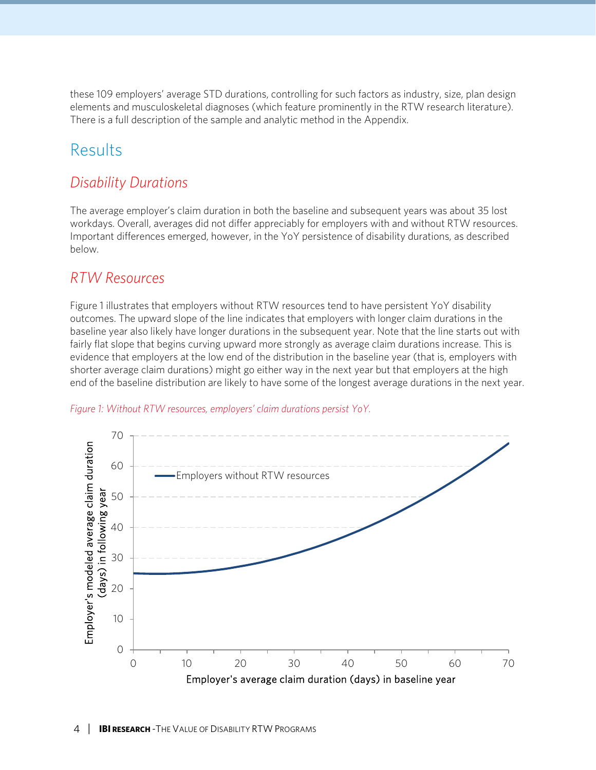these 109 employers' average STD durations, controlling for such factors as industry, size, plan design elements and musculoskeletal diagnoses (which feature prominently in the RTW research literature). There is a full description of the sample and analytic method in the Appendix.

# Results

### *Disability Durations*

The average employer's claim duration in both the baseline and subsequent years was about 35 lost workdays. Overall, averages did not differ appreciably for employers with and without RTW resources. Important differences emerged, however, in the YoY persistence of disability durations, as described below.

### *RTW Resources*

Figure 1 illustrates that employers without RTW resources tend to have persistent YoY disability outcomes. The upward slope of the line indicates that employers with longer claim durations in the baseline year also likely have longer durations in the subsequent year. Note that the line starts out with fairly flat slope that begins curving upward more strongly as average claim durations increase. This is evidence that employers at the low end of the distribution in the baseline year (that is, employers with shorter average claim durations) might go either way in the next year but that employers at the high end of the baseline distribution are likely to have some of the longest average durations in the next year.



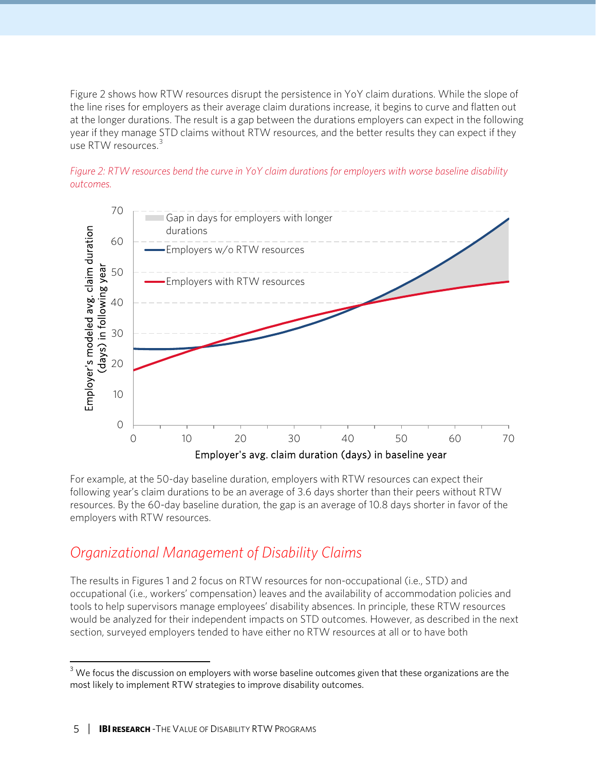Figure 2 shows how RTW resources disrupt the persistence in YoY claim durations. While the slope of the line rises for employers as their average claim durations increase, it begins to curve and flatten out at the longer durations. The result is a gap between the durations employers can expect in the following year if they manage STD claims without RTW resources, and the better results they can expect if they use RTW resources.<sup>[3](#page-4-0)</sup>





For example, at the 50-day baseline duration, employers with RTW resources can expect their following year's claim durations to be an average of 3.6 days shorter than their peers without RTW resources. By the 60-day baseline duration, the gap is an average of 10.8 days shorter in favor of the employers with RTW resources.

### *Organizational Management of Disability Claims*

The results in Figures 1 and 2 focus on RTW resources for non-occupational (i.e., STD) and occupational (i.e., workers' compensation) leaves and the availability of accommodation policies and tools to help supervisors manage employees' disability absences. In principle, these RTW resources would be analyzed for their independent impacts on STD outcomes. However, as described in the next section, surveyed employers tended to have either no RTW resources at all or to have both

<span id="page-4-0"></span> $3$  We focus the discussion on employers with worse baseline outcomes given that these organizations are the most likely to implement RTW strategies to improve disability outcomes.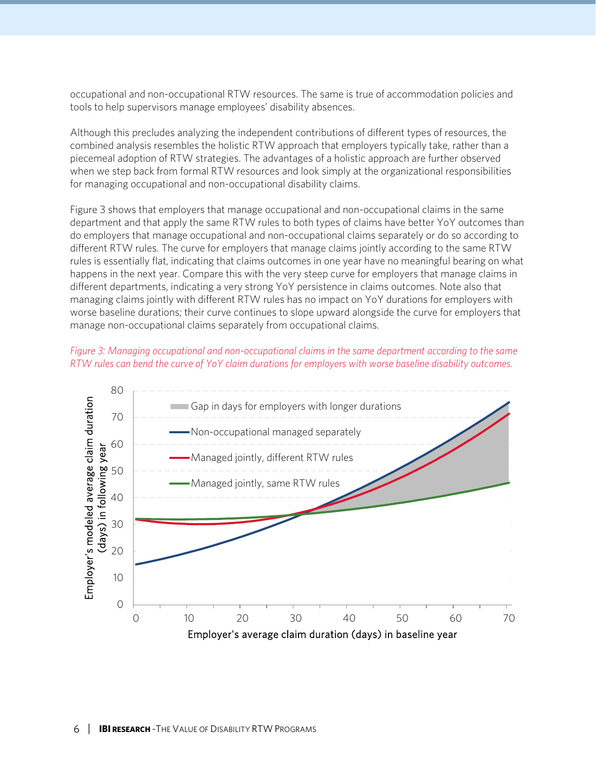occupational and non-occupational RTW resources. The same is true of accommodation policies and tools to help supervisors manage employees' disability absences.

Although this precludes analyzing the independent contributions of different types of resources, the combined analysis resembles the holistic RTW approach that employers typically take, rather than a piecemeal adoption of RTW strategies. The advantages of a holistic approach are further observed when we step back from formal RTW resources and look simply at the organizational responsibilities for managing occupational and non-occupational disability claims.

Figure 3 shows that employers that manage occupational and non-occupational claims in the same department and that apply the same RTW rules to both types of claims have better YoY outcomes than do employers that manage occupational and non-occupational claims separately or do so according to different RTW rules. The curve for employers that manage claims jointly according to the same RTW rules is essentially flat, indicating that claims outcomes in one year have no meaningful bearing on what happens in the next year. Compare this with the very steep curve for employers that manage claims in different departments, indicating a very strong YoY persistence in claims outcomes. Note also that managing claims jointly with different RTW rules has no impact on YoY durations for employers with worse baseline durations; their curve continues to slope upward alongside the curve for employers that manage non-occupational claims separately from occupational claims.



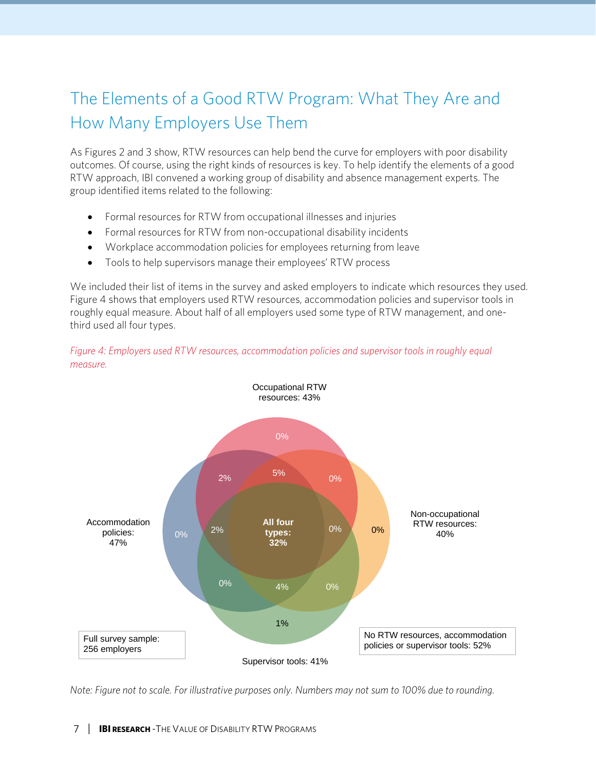# The Elements of a Good RTW Program: What They Are and How Many Employers Use Them

As Figures 2 and 3 show, RTW resources can help bend the curve for employers with poor disability outcomes. Of course, using the right kinds of resources is key. To help identify the elements of a good RTW approach, IBI convened a working group of disability and absence management experts. The group identified items related to the following:

- Formal resources for RTW from occupational illnesses and injuries
- Formal resources for RTW from non-occupational disability incidents
- Workplace accommodation policies for employees returning from leave
- Tools to help supervisors manage their employees' RTW process

We included their list of items in the survey and asked employers to indicate which resources they used. Figure 4 shows that employers used RTW resources, accommodation policies and supervisor tools in roughly equal measure. About half of all employers used some type of RTW management, and onethird used all four types.



*Figure 4: Employers used RTW resources, accommodation policies and supervisor tools in roughly equal measure.*

*Note: Figure not to scale. For illustrative purposes only. Numbers may not sum to 100% due to rounding.*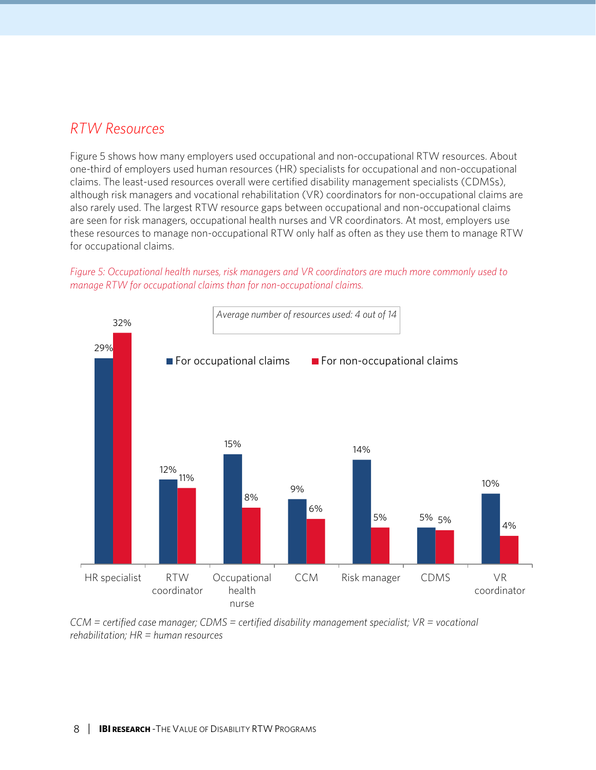### *RTW Resources*

Figure 5 shows how many employers used occupational and non-occupational RTW resources. About one-third of employers used human resources (HR) specialists for occupational and non-occupational claims. The least-used resources overall were certified disability management specialists (CDMSs), although risk managers and vocational rehabilitation (VR) coordinators for non-occupational claims are also rarely used. The largest RTW resource gaps between occupational and non-occupational claims are seen for risk managers, occupational health nurses and VR coordinators. At most, employers use these resources to manage non-occupational RTW only half as often as they use them to manage RTW for occupational claims.

#### *Figure 5: Occupational health nurses, risk managers and VR coordinators are much more commonly used to manage RTW for occupational claims than for non-occupational claims.*



*CCM = certified case manager; CDMS = certified disability management specialist; VR = vocational rehabilitation; HR = human resources*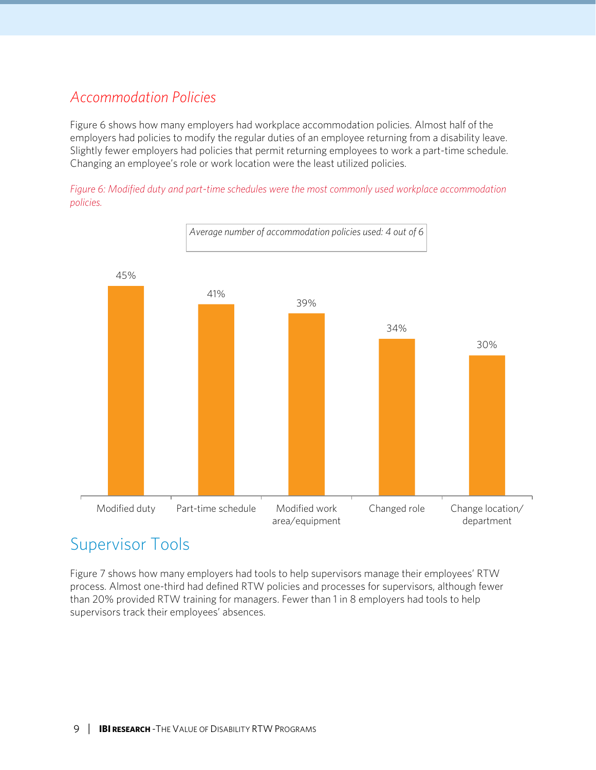# *Accommodation Policies*

Figure 6 shows how many employers had workplace accommodation policies. Almost half of the employers had policies to modify the regular duties of an employee returning from a disability leave. Slightly fewer employers had policies that permit returning employees to work a part-time schedule. Changing an employee's role or work location were the least utilized policies.

*Figure 6: Modified duty and part-time schedules were the most commonly used workplace accommodation policies.*



# Supervisor Tools

Figure 7 shows how many employers had tools to help supervisors manage their employees' RTW process. Almost one-third had defined RTW policies and processes for supervisors, although fewer than 20% provided RTW training for managers. Fewer than 1 in 8 employers had tools to help supervisors track their employees' absences.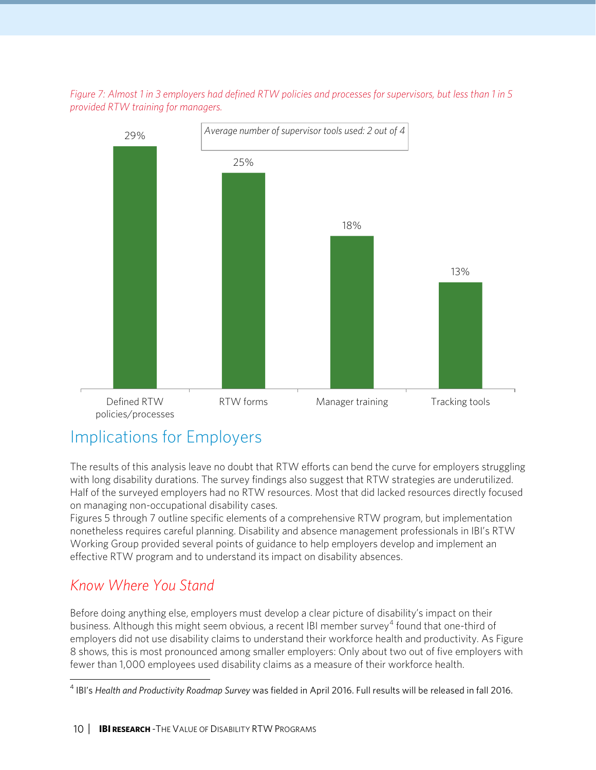*Figure 7: Almost 1 in 3 employers had defined RTW policies and processes for supervisors, but less than 1 in 5 provided RTW training for managers.*



# Implications for Employers

The results of this analysis leave no doubt that RTW efforts can bend the curve for employers struggling with long disability durations. The survey findings also suggest that RTW strategies are underutilized. Half of the surveyed employers had no RTW resources. Most that did lacked resources directly focused on managing non-occupational disability cases.

Figures 5 through 7 outline specific elements of a comprehensive RTW program, but implementation nonetheless requires careful planning. Disability and absence management professionals in IBI's RTW Working Group provided several points of guidance to help employers develop and implement an effective RTW program and to understand its impact on disability absences.

# *Know Where You Stand*

Before doing anything else, employers must develop a clear picture of disability's impact on their business. Although this might seem obvious, a recent IBI member survey<sup>[4](#page-9-0)</sup> found that one-third of employers did not use disability claims to understand their workforce health and productivity. As Figure 8 shows, this is most pronounced among smaller employers: Only about two out of five employers with fewer than 1,000 employees used disability claims as a measure of their workforce health.

<span id="page-9-0"></span><sup>4</sup> IBI's *Health and Productivity Roadmap Survey* was fielded in April 2016. Full results will be released in fall 2016.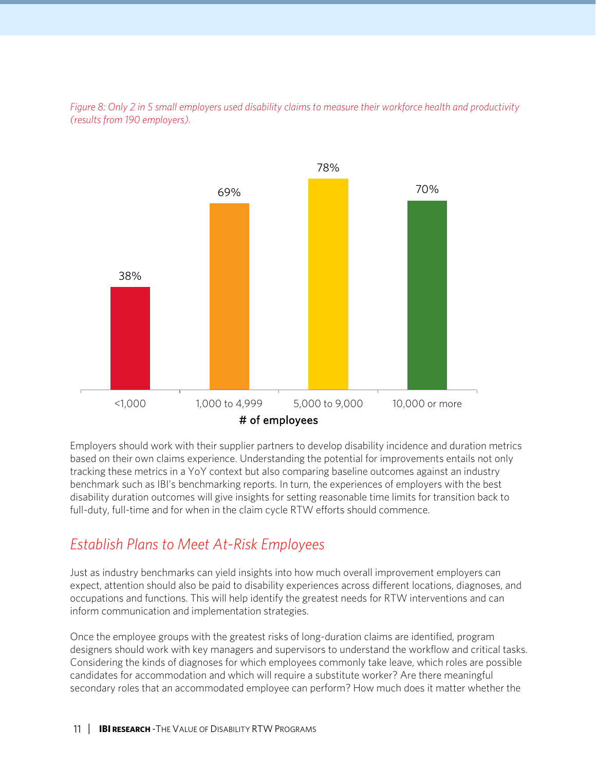



Employers should work with their supplier partners to develop disability incidence and duration metrics based on their own claims experience. Understanding the potential for improvements entails not only tracking these metrics in a YoY context but also comparing baseline outcomes against an industry benchmark such as IBI's benchmarking reports. In turn, the experiences of employers with the best disability duration outcomes will give insights for setting reasonable time limits for transition back to full-duty, full-time and for when in the claim cycle RTW efforts should commence.

## *Establish Plans to Meet At-Risk Employees*

Just as industry benchmarks can yield insights into how much overall improvement employers can expect, attention should also be paid to disability experiences across different locations, diagnoses, and occupations and functions. This will help identify the greatest needs for RTW interventions and can inform communication and implementation strategies.

Once the employee groups with the greatest risks of long-duration claims are identified, program designers should work with key managers and supervisors to understand the workflow and critical tasks. Considering the kinds of diagnoses for which employees commonly take leave, which roles are possible candidates for accommodation and which will require a substitute worker? Are there meaningful secondary roles that an accommodated employee can perform? How much does it matter whether the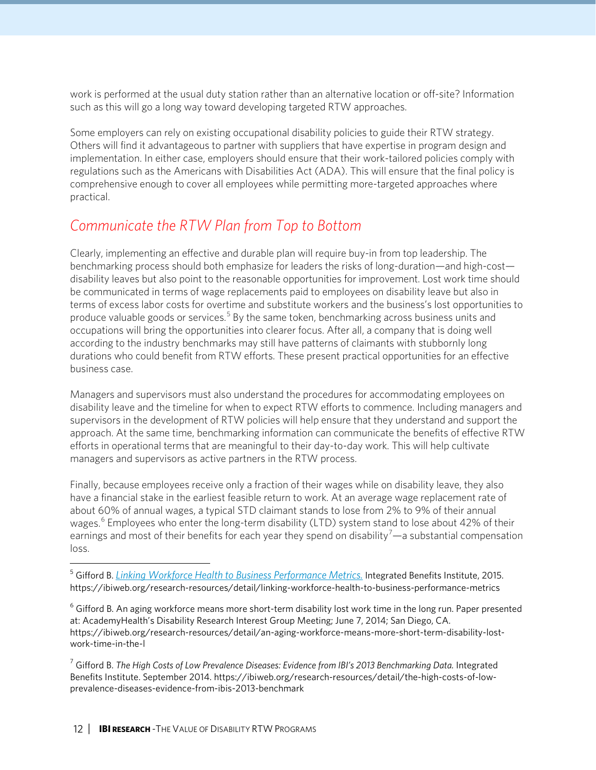work is performed at the usual duty station rather than an alternative location or off-site? Information such as this will go a long way toward developing targeted RTW approaches.

Some employers can rely on existing occupational disability policies to guide their RTW strategy. Others will find it advantageous to partner with suppliers that have expertise in program design and implementation. In either case, employers should ensure that their work-tailored policies comply with regulations such as the Americans with Disabilities Act (ADA). This will ensure that the final policy is comprehensive enough to cover all employees while permitting more-targeted approaches where practical.

# *Communicate the RTW Plan from Top to Bottom*

Clearly, implementing an effective and durable plan will require buy-in from top leadership. The benchmarking process should both emphasize for leaders the risks of long-duration—and high-cost disability leaves but also point to the reasonable opportunities for improvement. Lost work time should be communicated in terms of wage replacements paid to employees on disability leave but also in terms of excess labor costs for overtime and substitute workers and the business's lost opportunities to produce valuable goods or services.<sup>[5](#page-11-0)</sup> By the same token, benchmarking across business units and occupations will bring the opportunities into clearer focus. After all, a company that is doing well according to the industry benchmarks may still have patterns of claimants with stubbornly long durations who could benefit from RTW efforts. These present practical opportunities for an effective business case.

Managers and supervisors must also understand the procedures for accommodating employees on disability leave and the timeline for when to expect RTW efforts to commence. Including managers and supervisors in the development of RTW policies will help ensure that they understand and support the approach. At the same time, benchmarking information can communicate the benefits of effective RTW efforts in operational terms that are meaningful to their day-to-day work. This will help cultivate managers and supervisors as active partners in the RTW process.

Finally, because employees receive only a fraction of their wages while on disability leave, they also have a financial stake in the earliest feasible return to work. At an average wage replacement rate of about 60% of annual wages, a typical STD claimant stands to lose from 2% to 9% of their annual wages.<sup>[6](#page-11-1)</sup> Employees who enter the long-term disability (LTD) system stand to lose about 42% of their earnings and most of their benefits for each year they spend on disability<sup>[7](#page-11-2)</sup>—a substantial compensation loss.

<span id="page-11-0"></span> <sup>5</sup> Gifford B. *[Linking Workforce Health to Business Performance Metrics.](https://ibiweb.org/research-resources/detail/linking-workforce-health-to-business-performance-metrics)* Integrated Benefits Institute, 2015. https://ibiweb.org/research-resources/detail/linking-workforce-health-to-business-performance-metrics

<span id="page-11-1"></span><sup>6</sup> Gifford B[. An aging workforce means more short-term disability lost work time in the long run.](https://ibiweb.org/research-resources/detail/an-aging-workforce-means-more-short-term-disability-lost-work-time-in-the-l) Paper presented at: AcademyHealth's Disability Research Interest Group Meeting; June 7, 2014; San Diego, CA. https://ibiweb.org/research-resources/detail/an-aging-workforce-means-more-short-term-disability-lostwork-time-in-the-l

<span id="page-11-2"></span><sup>7</sup> Gifford B. *[The High Costs of Low Prevalence Diseases:](https://ibiweb.org/research-resources/detail/the-high-costs-of-low-prevalence-diseases-evidence-from-ibis-2013-benchmark) Evidence from IBI's 2013 Benchmarking Data.* Integrated Benefits Institute. September 2014. https://ibiweb.org/research-resources/detail/the-high-costs-of-lowprevalence-diseases-evidence-from-ibis-2013-benchmark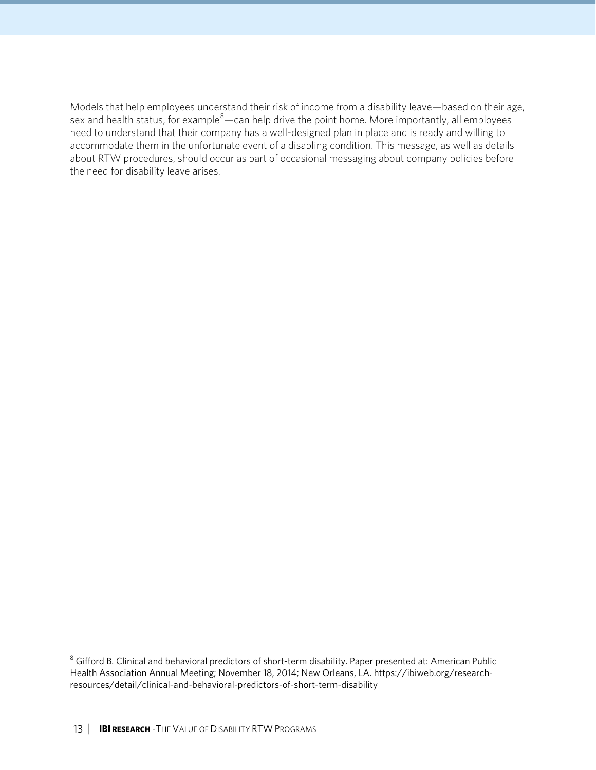Models that help employees understand their risk of income from a disability leave—based on their age, sex and health status, for example $^{8}$  $^{8}$  $^{8}$ —can help drive the point home. More importantly, all employees need to understand that their company has a well-designed plan in place and is ready and willing to accommodate them in the unfortunate event of a disabling condition. This message, as well as details about RTW procedures, should occur as part of occasional messaging about company policies before the need for disability leave arises.

<span id="page-12-0"></span><sup>&</sup>lt;sup>8</sup> Gifford B[. Clinical and behavioral predictors of short-term disability.](https://ibiweb.org/research-resources/detail/clinical-and-behavioral-predictors-of-short-term-disability) Paper presented at: American Public Health Association Annual Meeting; November 18, 2014; New Orleans, LA. https://ibiweb.org/researchresources/detail/clinical-and-behavioral-predictors-of-short-term-disability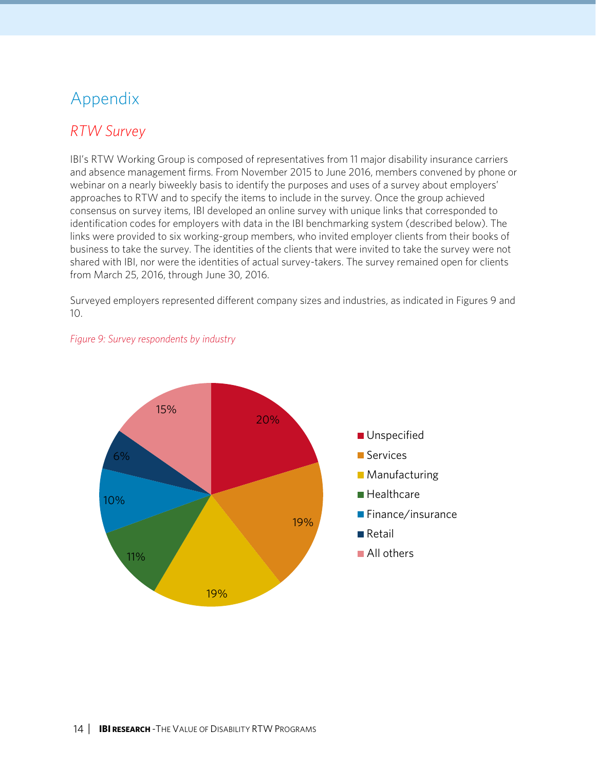# Appendix

# *RTW Survey*

IBI's RTW Working Group is composed of representatives from 11 major disability insurance carriers and absence management firms. From November 2015 to June 2016, members convened by phone or webinar on a nearly biweekly basis to identify the purposes and uses of a survey about employers' approaches to RTW and to specify the items to include in the survey. Once the group achieved consensus on survey items, IBI developed an online survey with unique links that corresponded to identification codes for employers with data in the IBI benchmarking system (described below). The links were provided to six working-group members, who invited employer clients from their books of business to take the survey. The identities of the clients that were invited to take the survey were not shared with IBI, nor were the identities of actual survey-takers. The survey remained open for clients from March 25, 2016, through June 30, 2016.

Surveyed employers represented different company sizes and industries, as indicated in Figures 9 and 10.



#### *Figure 9: Survey respondents by industry*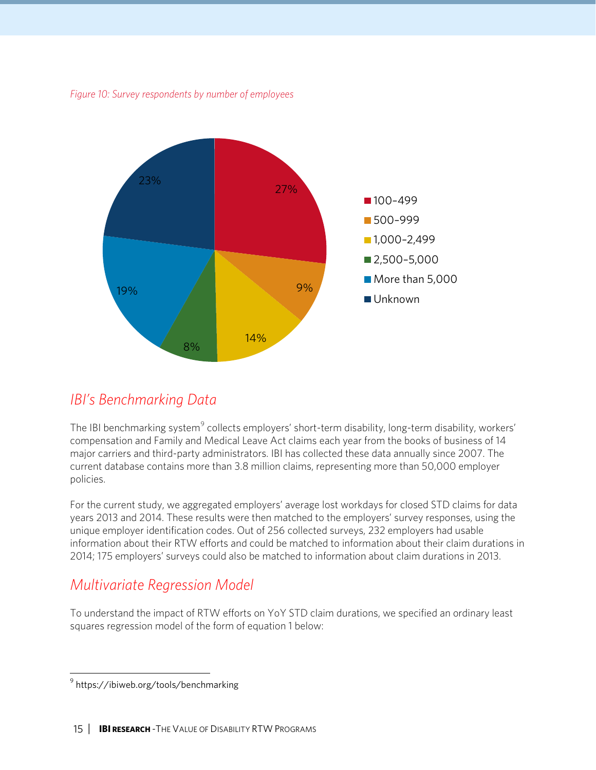*Figure 10: Survey respondents by number of employees*



### *IBI's Benchmarking Data*

The IBI [benchmarking system](https://ibiweb.org/tools/benchmarking)<sup>[9](#page-14-0)</sup> collects employers' short-term disability, long-term disability, workers' compensation and Family and Medical Leave Act claims each year from the books of business of 14 major carriers and third-party administrators. IBI has collected these data annually since 2007. The current database contains more than 3.8 million claims, representing more than 50,000 employer policies.

For the current study, we aggregated employers' average lost workdays for closed STD claims for data years 2013 and 2014. These results were then matched to the employers' survey responses, using the unique employer identification codes. Out of 256 collected surveys, 232 employers had usable information about their RTW efforts and could be matched to information about their claim durations in 2014; 175 employers' surveys could also be matched to information about claim durations in 2013.

### *Multivariate Regression Model*

To understand the impact of RTW efforts on YoY STD claim durations, we specified an ordinary least squares regression model of the form of equation 1 below:

<span id="page-14-0"></span><sup>9</sup> https://ibiweb.org/tools/benchmarking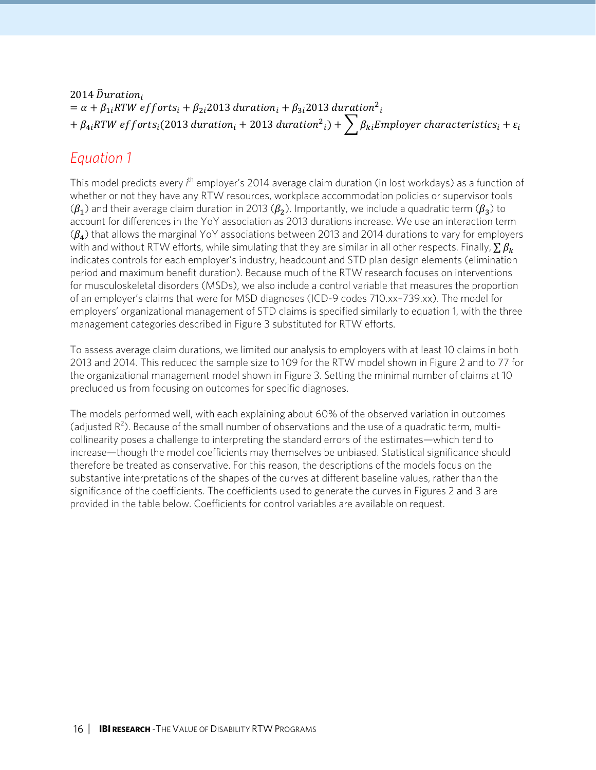2014  $\widehat{D}uration_i$  $=\alpha + \beta_{1 i} RTW$  efforts $_i + \beta_{2 i}$ 2013 duration $_i + \beta_{3 i}$ 2013 duration $\frac{2\pi}{T}$ +  $\beta_{4i}$ RTW efforts $_{i}$ (2013 duration $_{i}$  + 2013 duration $^{2}{}_{i})$  +  $\sum\limits_{i}^{} \beta_{ki}$ Employer characteristics $_{i}$  +  $\varepsilon_{i}$ 

### *Equation 1*

This model predicts every *i*<sup>th</sup> employer's 2014 average claim duration (in lost workdays) as a function of whether or not they have any RTW resources, workplace accommodation policies or supervisor tools  $(\beta_1)$  and their average claim duration in 2013 ( $\beta_2$ ). Importantly, we include a quadratic term ( $\beta_3$ ) to account for differences in the YoY association as 2013 durations increase. We use an interaction term  $(\beta_4)$  that allows the marginal YoY associations between 2013 and 2014 durations to vary for employers with and without RTW efforts, while simulating that they are similar in all other respects. Finally,  $\sum \beta_k$ indicates controls for each employer's industry, headcount and STD plan design elements (elimination period and maximum benefit duration). Because much of the RTW research focuses on interventions for musculoskeletal disorders (MSDs), we also include a control variable that measures the proportion of an employer's claims that were for MSD diagnoses (ICD-9 codes 710.xx–739.xx). The model for employers' organizational management of STD claims is specified similarly to equation 1, with the three management categories described in Figure 3 substituted for RTW efforts.

To assess average claim durations, we limited our analysis to employers with at least 10 claims in both 2013 and 2014. This reduced the sample size to 109 for the RTW model shown in Figure 2 and to 77 for the organizational management model shown in Figure 3. Setting the minimal number of claims at 10 precluded us from focusing on outcomes for specific diagnoses.

The models performed well, with each explaining about 60% of the observed variation in outcomes (adjusted  $R^2$ ). Because of the small number of observations and the use of a quadratic term, multicollinearity poses a challenge to interpreting the standard errors of the estimates—which tend to increase—though the model coefficients may themselves be unbiased. Statistical significance should therefore be treated as conservative. For this reason, the descriptions of the models focus on the substantive interpretations of the shapes of the curves at different baseline values, rather than the significance of the coefficients. The coefficients used to generate the curves in Figures 2 and 3 are provided in the table below. Coefficients for control variables are available on request.